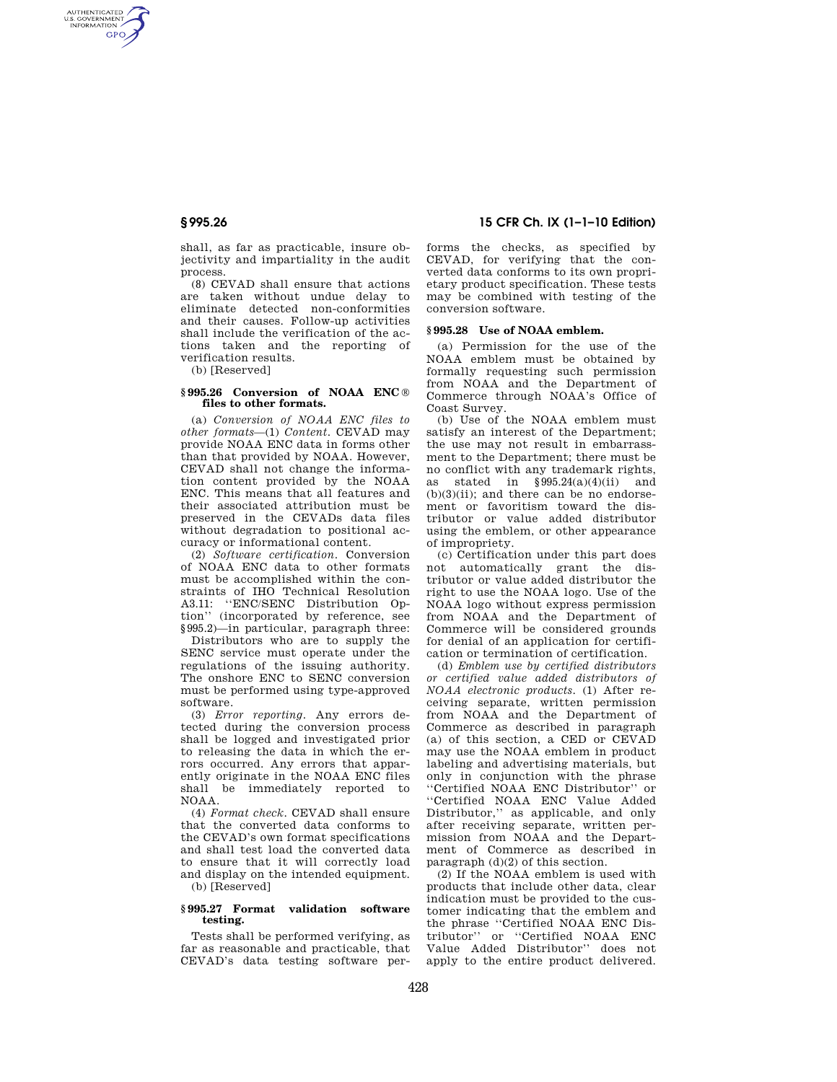AUTHENTICATED<br>U.S. GOVERNMENT<br>INFORMATION **GPO** 

> shall, as far as practicable, insure objectivity and impartiality in the audit process.

> (8) CEVAD shall ensure that actions are taken without undue delay to eliminate detected non-conformities and their causes. Follow-up activities shall include the verification of the actions taken and the reporting of verification results.

(b) [Reserved]

#### **§ 995.26 Conversion of NOAA ENC** ® **files to other formats.**

(a) *Conversion of NOAA ENC files to other formats*—(1) *Content*. CEVAD may provide NOAA ENC data in forms other than that provided by NOAA. However, CEVAD shall not change the information content provided by the NOAA ENC. This means that all features and their associated attribution must be preserved in the CEVADs data files without degradation to positional accuracy or informational content.

(2) *Software certification*. Conversion of NOAA ENC data to other formats must be accomplished within the constraints of IHO Technical Resolution A3.11: ''ENC/SENC Distribution Option'' (incorporated by reference, see §995.2)—in particular, paragraph three:

Distributors who are to supply the SENC service must operate under the regulations of the issuing authority. The onshore ENC to SENC conversion must be performed using type-approved software.

(3) *Error reporting*. Any errors detected during the conversion process shall be logged and investigated prior to releasing the data in which the errors occurred. Any errors that apparently originate in the NOAA ENC files shall be immediately reported to NOAA.

(4) *Format check*. CEVAD shall ensure that the converted data conforms to the CEVAD's own format specifications and shall test load the converted data to ensure that it will correctly load and display on the intended equipment.

(b) [Reserved]

## **§ 995.27 Format validation software testing.**

Tests shall be performed verifying, as far as reasonable and practicable, that CEVAD's data testing software per-

# **§ 995.26 15 CFR Ch. IX (1–1–10 Edition)**

forms the checks, as specified by CEVAD, for verifying that the converted data conforms to its own proprietary product specification. These tests may be combined with testing of the conversion software.

## **§ 995.28 Use of NOAA emblem.**

(a) Permission for the use of the NOAA emblem must be obtained by formally requesting such permission from NOAA and the Department of Commerce through NOAA's Office of Coast Survey.

(b) Use of the NOAA emblem must satisfy an interest of the Department; the use may not result in embarrassment to the Department; there must be no conflict with any trademark rights, as stated in §995.24(a)(4)(ii) and  $(b)(3)(ii)$ ; and there can be no endorsement or favoritism toward the distributor or value added distributor using the emblem, or other appearance of impropriety.

(c) Certification under this part does not automatically grant the distributor or value added distributor the right to use the NOAA logo. Use of the NOAA logo without express permission from NOAA and the Department of Commerce will be considered grounds for denial of an application for certification or termination of certification.

(d) *Emblem use by certified distributors or certified value added distributors of NOAA electronic products*. (1) After receiving separate, written permission from NOAA and the Department of Commerce as described in paragraph (a) of this section, a CED or CEVAD may use the NOAA emblem in product labeling and advertising materials, but only in conjunction with the phrase ''Certified NOAA ENC Distributor'' or ''Certified NOAA ENC Value Added Distributor,'' as applicable, and only after receiving separate, written permission from NOAA and the Department of Commerce as described in paragraph (d)(2) of this section.

(2) If the NOAA emblem is used with products that include other data, clear indication must be provided to the customer indicating that the emblem and the phrase ''Certified NOAA ENC Distributor'' or ''Certified NOAA ENC Value Added Distributor'' does not apply to the entire product delivered.